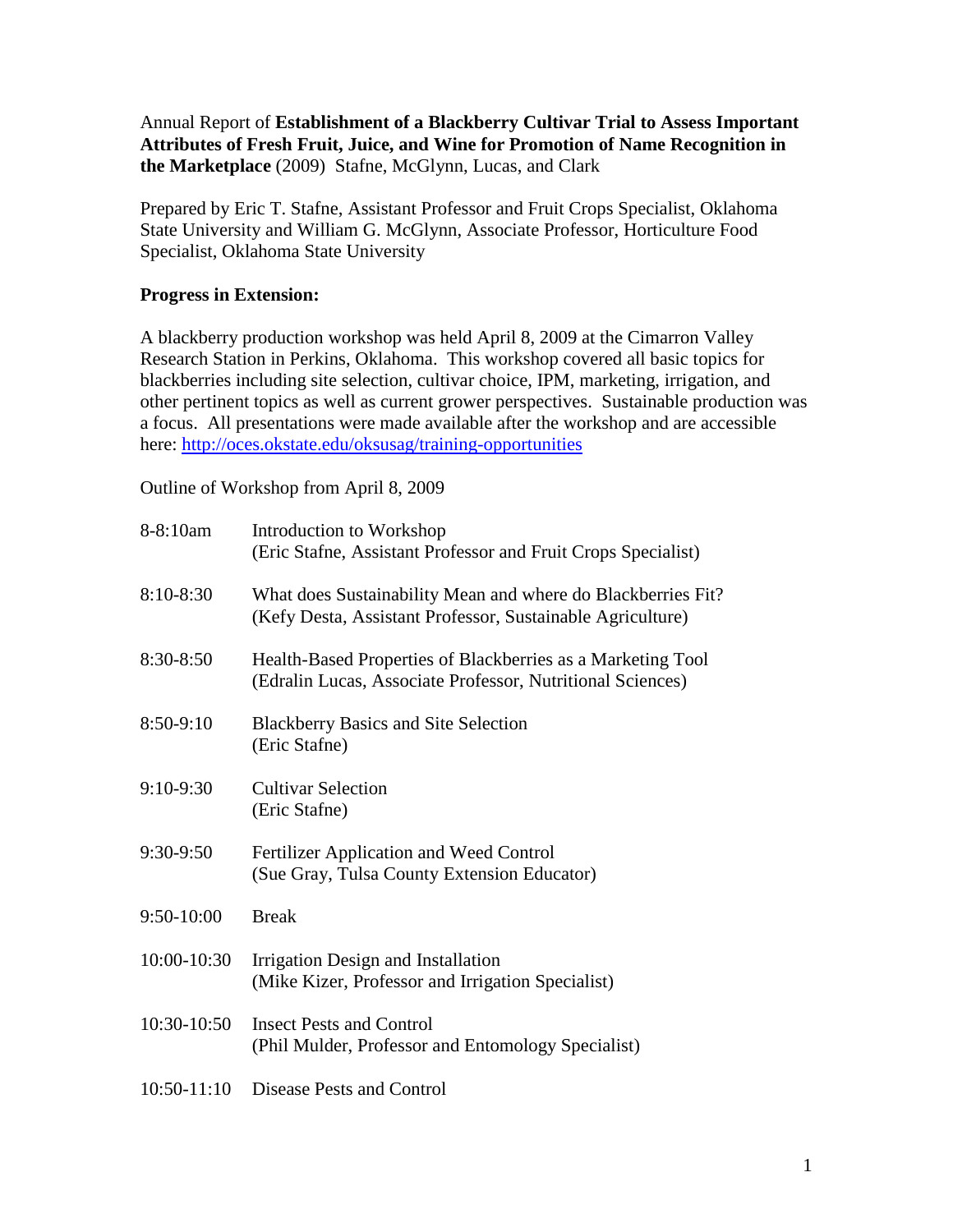Annual Report of **Establishment of a Blackberry Cultivar Trial to Assess Important Attributes of Fresh Fruit, Juice, and Wine for Promotion of Name Recognition in the Marketplace** (2009) Stafne, McGlynn, Lucas, and Clark

Prepared by Eric T. Stafne, Assistant Professor and Fruit Crops Specialist, Oklahoma State University and William G. McGlynn, Associate Professor, Horticulture Food Specialist, Oklahoma State University

## **Progress in Extension:**

A blackberry production workshop was held April 8, 2009 at the Cimarron Valley Research Station in Perkins, Oklahoma. This workshop covered all basic topics for blackberries including site selection, cultivar choice, IPM, marketing, irrigation, and other pertinent topics as well as current grower perspectives. Sustainable production was a focus. All presentations were made available after the workshop and are accessible here:<http://oces.okstate.edu/oksusag/training-opportunities>

Outline of Workshop from April 8, 2009

| 8-8:10am      | Introduction to Workshop<br>(Eric Stafne, Assistant Professor and Fruit Crops Specialist)                                  |
|---------------|----------------------------------------------------------------------------------------------------------------------------|
| 8:10-8:30     | What does Sustainability Mean and where do Blackberries Fit?<br>(Kefy Desta, Assistant Professor, Sustainable Agriculture) |
| 8:30-8:50     | Health-Based Properties of Blackberries as a Marketing Tool<br>(Edralin Lucas, Associate Professor, Nutritional Sciences)  |
| 8:50-9:10     | <b>Blackberry Basics and Site Selection</b><br>(Eric Stafne)                                                               |
| 9:10-9:30     | <b>Cultivar Selection</b><br>(Eric Stafne)                                                                                 |
| 9:30-9:50     | Fertilizer Application and Weed Control<br>(Sue Gray, Tulsa County Extension Educator)                                     |
| $9:50-10:00$  | <b>Break</b>                                                                                                               |
| 10:00-10:30   | Irrigation Design and Installation<br>(Mike Kizer, Professor and Irrigation Specialist)                                    |
| 10:30-10:50   | <b>Insect Pests and Control</b><br>(Phil Mulder, Professor and Entomology Specialist)                                      |
| $10:50-11:10$ | <b>Disease Pests and Control</b>                                                                                           |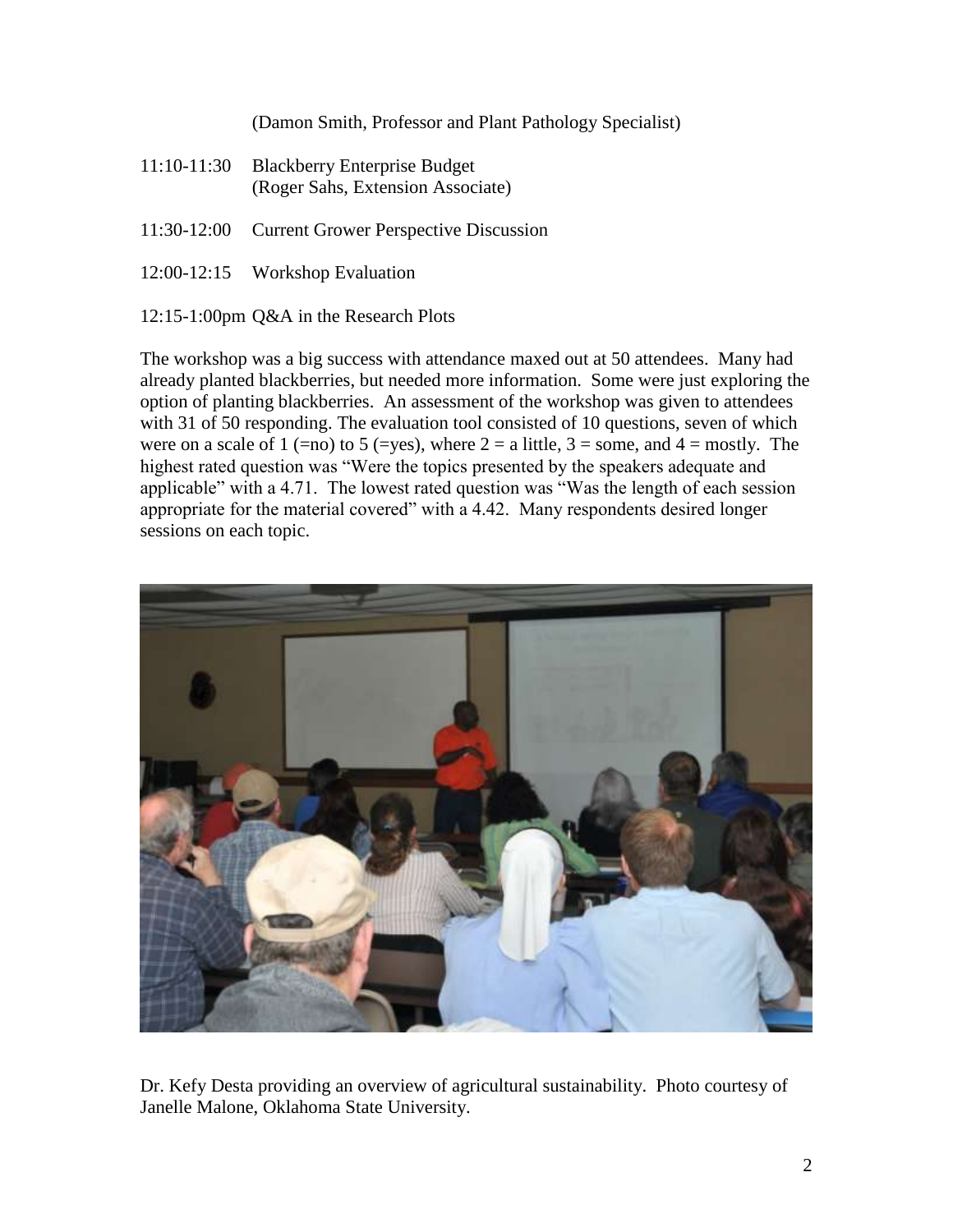(Damon Smith, Professor and Plant Pathology Specialist)

- 11:10-11:30 Blackberry Enterprise Budget (Roger Sahs, Extension Associate)
- 11:30-12:00 Current Grower Perspective Discussion
- 12:00-12:15 Workshop Evaluation

12:15-1:00pm Q&A in the Research Plots

The workshop was a big success with attendance maxed out at 50 attendees. Many had already planted blackberries, but needed more information. Some were just exploring the option of planting blackberries. An assessment of the workshop was given to attendees with 31 of 50 responding. The evaluation tool consisted of 10 questions, seven of which were on a scale of 1 (=no) to 5 (=yes), where  $2 = a$  little,  $3 =$  some, and  $4 =$  mostly. The highest rated question was "Were the topics presented by the speakers adequate and applicable" with a 4.71. The lowest rated question was "Was the length of each session appropriate for the material covered" with a 4.42. Many respondents desired longer sessions on each topic.



Dr. Kefy Desta providing an overview of agricultural sustainability. Photo courtesy of Janelle Malone, Oklahoma State University.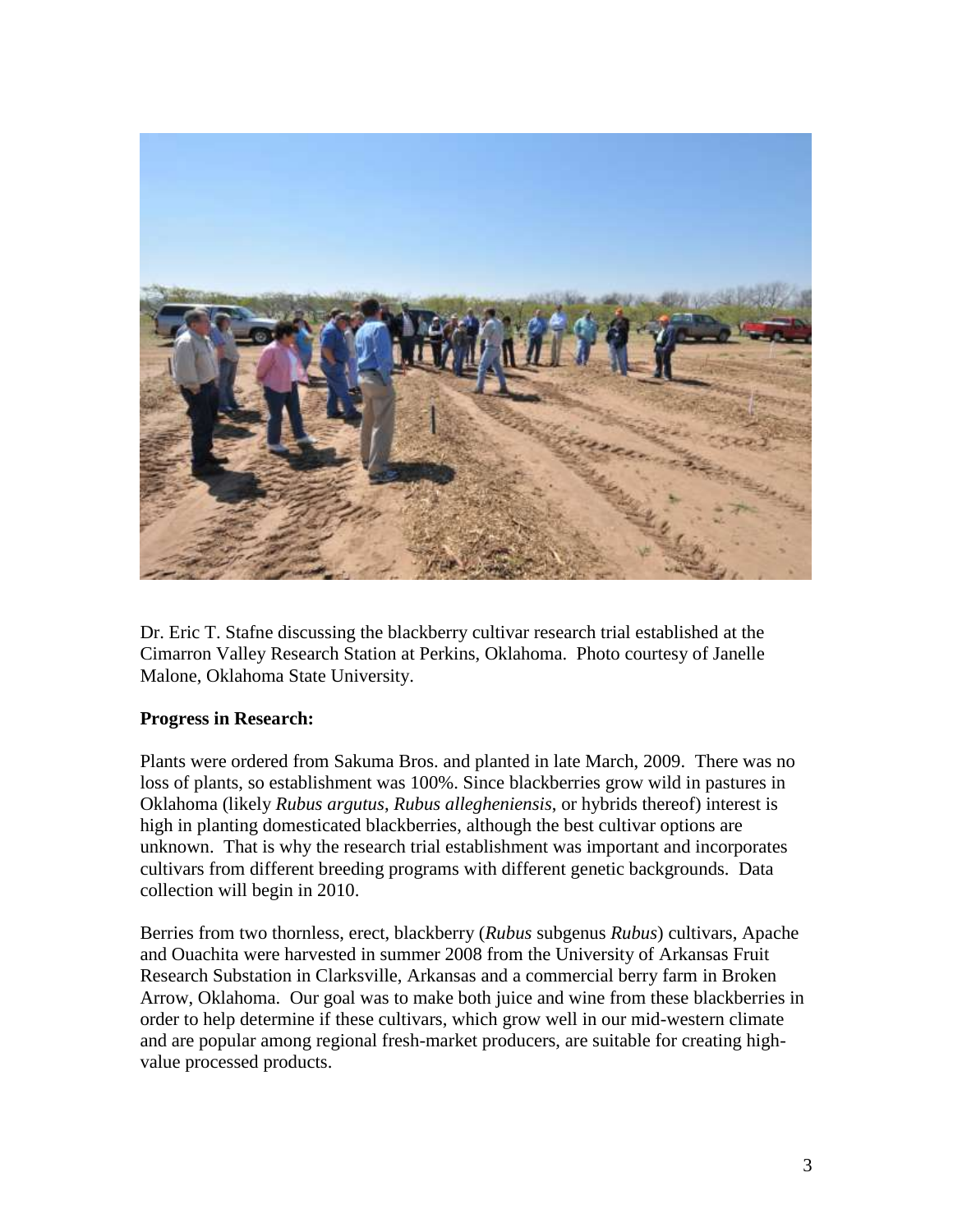

Dr. Eric T. Stafne discussing the blackberry cultivar research trial established at the Cimarron Valley Research Station at Perkins, Oklahoma. Photo courtesy of Janelle Malone, Oklahoma State University.

## **Progress in Research:**

Plants were ordered from Sakuma Bros. and planted in late March, 2009. There was no loss of plants, so establishment was 100%. Since blackberries grow wild in pastures in Oklahoma (likely *Rubus argutus*, *Rubus allegheniensis*, or hybrids thereof) interest is high in planting domesticated blackberries, although the best cultivar options are unknown. That is why the research trial establishment was important and incorporates cultivars from different breeding programs with different genetic backgrounds. Data collection will begin in 2010.

Berries from two thornless, erect, blackberry (*Rubus* subgenus *Rubus*) cultivars, Apache and Ouachita were harvested in summer 2008 from the University of Arkansas Fruit Research Substation in Clarksville, Arkansas and a commercial berry farm in Broken Arrow, Oklahoma. Our goal was to make both juice and wine from these blackberries in order to help determine if these cultivars, which grow well in our mid-western climate and are popular among regional fresh-market producers, are suitable for creating highvalue processed products.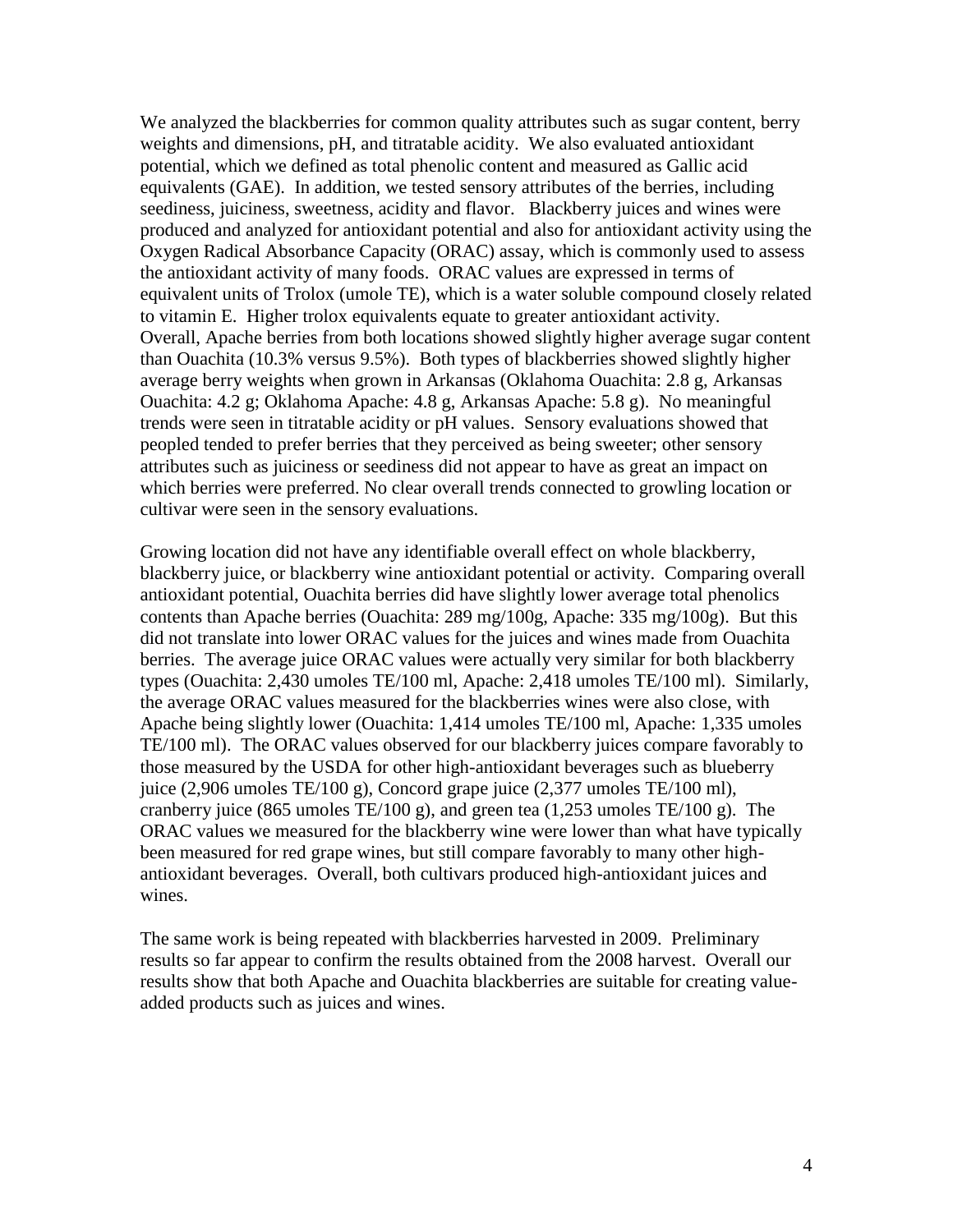We analyzed the blackberries for common quality attributes such as sugar content, berry weights and dimensions, pH, and titratable acidity. We also evaluated antioxidant potential, which we defined as total phenolic content and measured as Gallic acid equivalents (GAE). In addition, we tested sensory attributes of the berries, including seediness, juiciness, sweetness, acidity and flavor. Blackberry juices and wines were produced and analyzed for antioxidant potential and also for antioxidant activity using the Oxygen Radical Absorbance Capacity (ORAC) assay, which is commonly used to assess the antioxidant activity of many foods. ORAC values are expressed in terms of equivalent units of Trolox (umole TE), which is a water soluble compound closely related to vitamin E. Higher trolox equivalents equate to greater antioxidant activity. Overall, Apache berries from both locations showed slightly higher average sugar content than Ouachita (10.3% versus 9.5%). Both types of blackberries showed slightly higher average berry weights when grown in Arkansas (Oklahoma Ouachita: 2.8 g, Arkansas Ouachita: 4.2 g; Oklahoma Apache: 4.8 g, Arkansas Apache: 5.8 g). No meaningful trends were seen in titratable acidity or pH values. Sensory evaluations showed that peopled tended to prefer berries that they perceived as being sweeter; other sensory attributes such as juiciness or seediness did not appear to have as great an impact on which berries were preferred. No clear overall trends connected to growling location or cultivar were seen in the sensory evaluations.

Growing location did not have any identifiable overall effect on whole blackberry, blackberry juice, or blackberry wine antioxidant potential or activity. Comparing overall antioxidant potential, Ouachita berries did have slightly lower average total phenolics contents than Apache berries (Ouachita: 289 mg/100g, Apache: 335 mg/100g). But this did not translate into lower ORAC values for the juices and wines made from Ouachita berries. The average juice ORAC values were actually very similar for both blackberry types (Ouachita: 2,430 umoles TE/100 ml, Apache: 2,418 umoles TE/100 ml). Similarly, the average ORAC values measured for the blackberries wines were also close, with Apache being slightly lower (Ouachita: 1,414 umoles TE/100 ml, Apache: 1,335 umoles TE/100 ml). The ORAC values observed for our blackberry juices compare favorably to those measured by the USDA for other high-antioxidant beverages such as blueberry juice (2,906 umoles TE/100 g), Concord grape juice (2,377 umoles TE/100 ml), cranberry juice (865 umoles TE/100 g), and green tea  $(1,253 \text{ umbes TE}/100 \text{ g})$ . The ORAC values we measured for the blackberry wine were lower than what have typically been measured for red grape wines, but still compare favorably to many other highantioxidant beverages. Overall, both cultivars produced high-antioxidant juices and wines.

The same work is being repeated with blackberries harvested in 2009. Preliminary results so far appear to confirm the results obtained from the 2008 harvest. Overall our results show that both Apache and Ouachita blackberries are suitable for creating valueadded products such as juices and wines.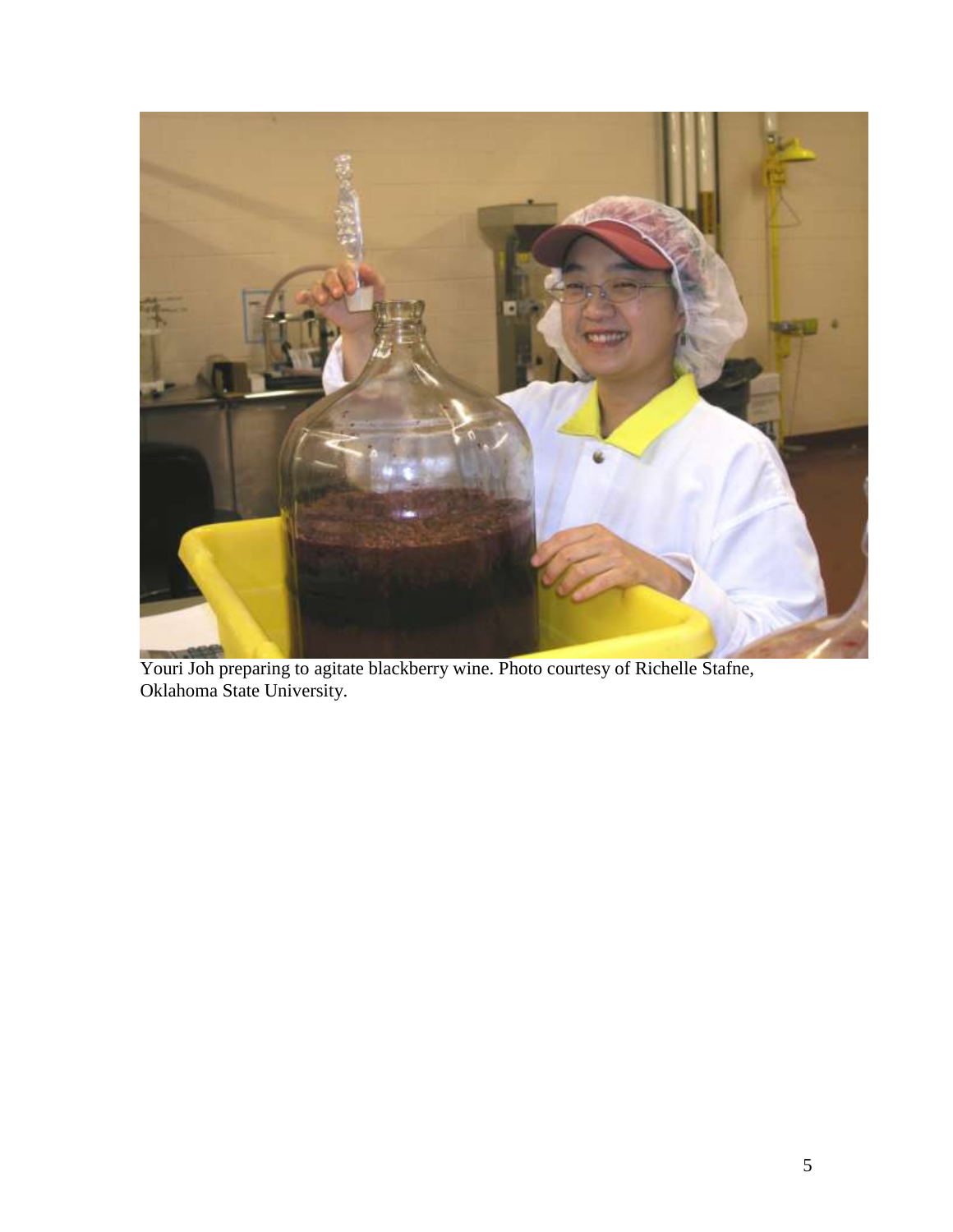

Youri Joh preparing to agitate blackberry wine. Photo courtesy of Richelle Stafne, Oklahoma State University.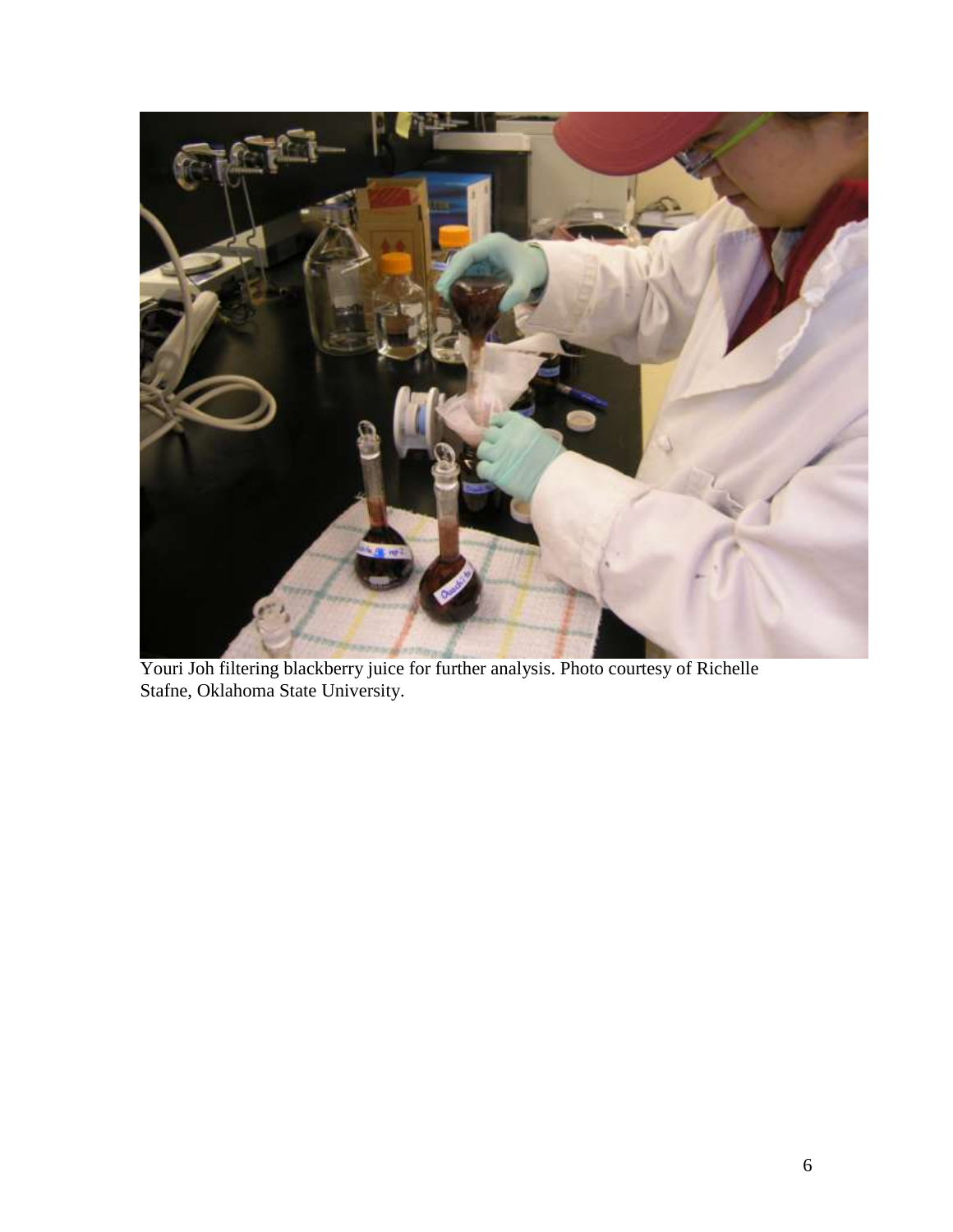

Youri Joh filtering blackberry juice for further analysis. Photo courtesy of Richelle Stafne, Oklahoma State University.